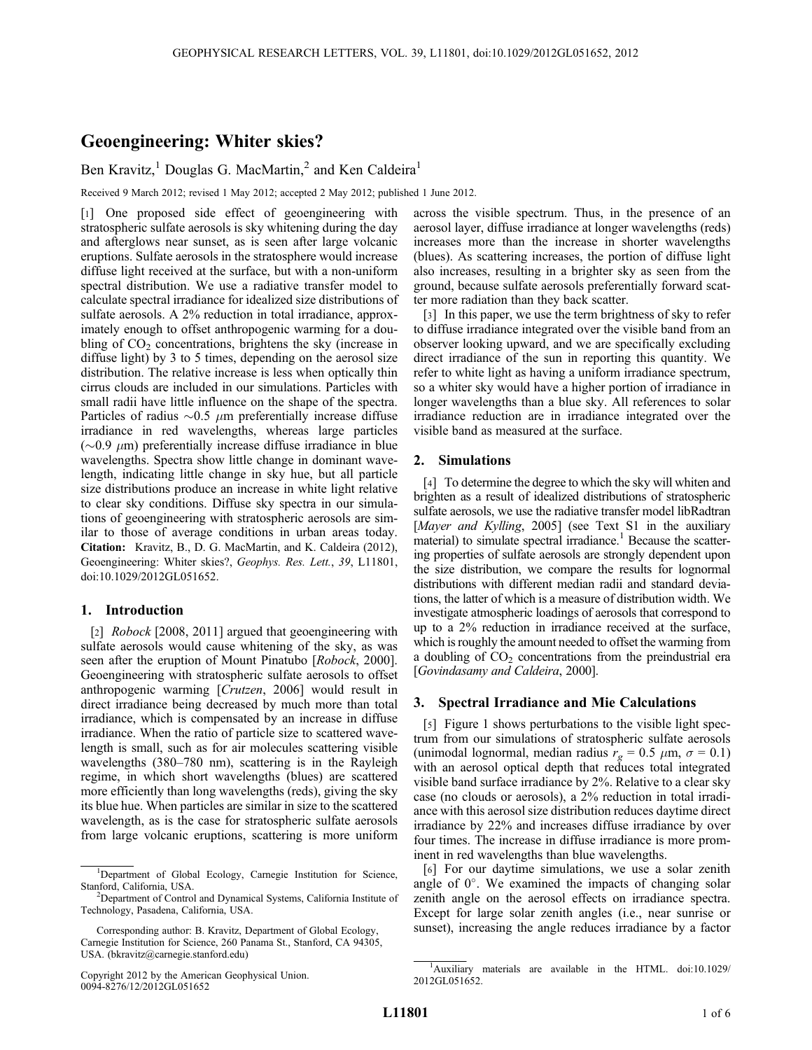# Geoengineering: Whiter skies?

Ben Kravitz,<sup>1</sup> Douglas G. MacMartin,<sup>2</sup> and Ken Caldeira<sup>1</sup>

Received 9 March 2012; revised 1 May 2012; accepted 2 May 2012; published 1 June 2012.

[1] One proposed side effect of geoengineering with stratospheric sulfate aerosols is sky whitening during the day and afterglows near sunset, as is seen after large volcanic eruptions. Sulfate aerosols in the stratosphere would increase diffuse light received at the surface, but with a non-uniform spectral distribution. We use a radiative transfer model to calculate spectral irradiance for idealized size distributions of sulfate aerosols. A 2% reduction in total irradiance, approximately enough to offset anthropogenic warming for a doubling of  $CO<sub>2</sub>$  concentrations, brightens the sky (increase in diffuse light) by 3 to 5 times, depending on the aerosol size distribution. The relative increase is less when optically thin cirrus clouds are included in our simulations. Particles with small radii have little influence on the shape of the spectra. Particles of radius  $\sim 0.5$   $\mu$ m preferentially increase diffuse irradiance in red wavelengths, whereas large particles  $(\sim 0.9 \mu m)$  preferentially increase diffuse irradiance in blue wavelengths. Spectra show little change in dominant wavelength, indicating little change in sky hue, but all particle size distributions produce an increase in white light relative to clear sky conditions. Diffuse sky spectra in our simulations of geoengineering with stratospheric aerosols are similar to those of average conditions in urban areas today. Citation: Kravitz, B., D. G. MacMartin, and K. Caldeira (2012), Geoengineering: Whiter skies?, Geophys. Res. Lett., 39, L11801, doi:10.1029/2012GL051652.

### 1. Introduction

[2] *Robock* [2008, 2011] argued that geoengineering with sulfate aerosols would cause whitening of the sky, as was seen after the eruption of Mount Pinatubo [*Robock*, 2000]. Geoengineering with stratospheric sulfate aerosols to offset anthropogenic warming [Crutzen, 2006] would result in direct irradiance being decreased by much more than total irradiance, which is compensated by an increase in diffuse irradiance. When the ratio of particle size to scattered wavelength is small, such as for air molecules scattering visible wavelengths (380–780 nm), scattering is in the Rayleigh regime, in which short wavelengths (blues) are scattered more efficiently than long wavelengths (reds), giving the sky its blue hue. When particles are similar in size to the scattered wavelength, as is the case for stratospheric sulfate aerosols from large volcanic eruptions, scattering is more uniform

across the visible spectrum. Thus, in the presence of an aerosol layer, diffuse irradiance at longer wavelengths (reds) increases more than the increase in shorter wavelengths (blues). As scattering increases, the portion of diffuse light also increases, resulting in a brighter sky as seen from the ground, because sulfate aerosols preferentially forward scatter more radiation than they back scatter.

[3] In this paper, we use the term brightness of sky to refer to diffuse irradiance integrated over the visible band from an observer looking upward, and we are specifically excluding direct irradiance of the sun in reporting this quantity. We refer to white light as having a uniform irradiance spectrum, so a whiter sky would have a higher portion of irradiance in longer wavelengths than a blue sky. All references to solar irradiance reduction are in irradiance integrated over the visible band as measured at the surface.

## 2. Simulations

[4] To determine the degree to which the sky will whiten and brighten as a result of idealized distributions of stratospheric sulfate aerosols, we use the radiative transfer model libRadtran [Mayer and Kylling, 2005] (see Text S1 in the auxiliary material) to simulate spectral irradiance.<sup>1</sup> Because the scattering properties of sulfate aerosols are strongly dependent upon the size distribution, we compare the results for lognormal distributions with different median radii and standard deviations, the latter of which is a measure of distribution width. We investigate atmospheric loadings of aerosols that correspond to up to a 2% reduction in irradiance received at the surface, which is roughly the amount needed to offset the warming from a doubling of  $CO<sub>2</sub>$  concentrations from the preindustrial era [Govindasamy and Caldeira, 2000].

#### 3. Spectral Irradiance and Mie Calculations

[5] Figure 1 shows perturbations to the visible light spectrum from our simulations of stratospheric sulfate aerosols (unimodal lognormal, median radius  $r_g = 0.5 \mu m$ ,  $\sigma = 0.1$ ) with an aerosol optical depth that reduces total integrated visible band surface irradiance by 2%. Relative to a clear sky case (no clouds or aerosols), a 2% reduction in total irradiance with this aerosol size distribution reduces daytime direct irradiance by 22% and increases diffuse irradiance by over four times. The increase in diffuse irradiance is more prominent in red wavelengths than blue wavelengths.

[6] For our daytime simulations, we use a solar zenith angle of  $0^\circ$ . We examined the impacts of changing solar zenith angle on the aerosol effects on irradiance spectra. Except for large solar zenith angles (i.e., near sunrise or sunset), increasing the angle reduces irradiance by a factor

<sup>&</sup>lt;sup>1</sup>Department of Global Ecology, Carnegie Institution for Science, Stanford, California, USA.

<sup>&</sup>lt;sup>2</sup>Department of Control and Dynamical Systems, California Institute of Technology, Pasadena, California, USA.

Corresponding author: B. Kravitz, Department of Global Ecology, Carnegie Institution for Science, 260 Panama St., Stanford, CA 94305, USA. (bkravitz@carnegie.stanford.edu)

Copyright 2012 by the American Geophysical Union. 0094-8276/12/2012GL051652

<sup>&</sup>lt;sup>1</sup>Auxiliary materials are available in the HTML. doi:10.1029/ 2012GL051652.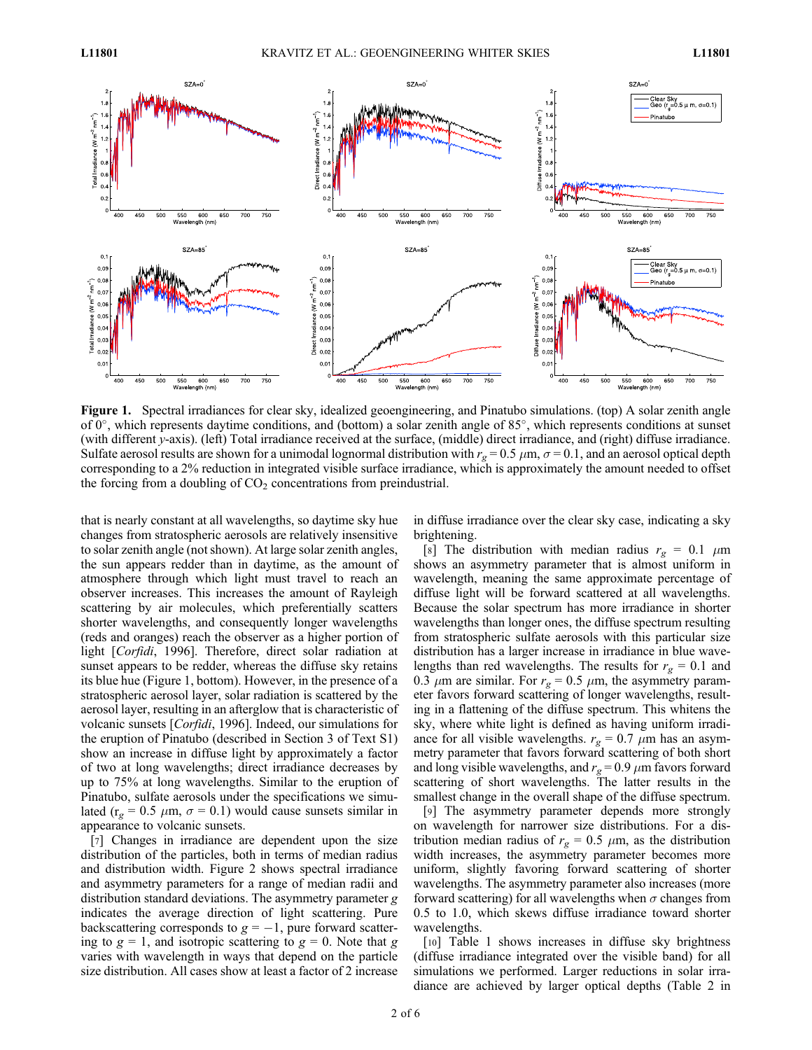

Figure 1. Spectral irradiances for clear sky, idealized geoengineering, and Pinatubo simulations. (top) A solar zenith angle of  $0^{\circ}$ , which represents daytime conditions, and (bottom) a solar zenith angle of 85 $^{\circ}$ , which represents conditions at sunset (with different y-axis). (left) Total irradiance received at the surface, (middle) direct irradiance, and (right) diffuse irradiance. Sulfate aerosol results are shown for a unimodal lognormal distribution with  $r_g = 0.5 \mu m$ ,  $\sigma = 0.1$ , and an aerosol optical depth corresponding to a 2% reduction in integrated visible surface irradiance, which is approximately the amount needed to offset the forcing from a doubling of  $CO<sub>2</sub>$  concentrations from preindustrial.

that is nearly constant at all wavelengths, so daytime sky hue changes from stratospheric aerosols are relatively insensitive to solar zenith angle (not shown). At large solar zenith angles, the sun appears redder than in daytime, as the amount of atmosphere through which light must travel to reach an observer increases. This increases the amount of Rayleigh scattering by air molecules, which preferentially scatters shorter wavelengths, and consequently longer wavelengths (reds and oranges) reach the observer as a higher portion of light [Corfidi, 1996]. Therefore, direct solar radiation at sunset appears to be redder, whereas the diffuse sky retains its blue hue (Figure 1, bottom). However, in the presence of a stratospheric aerosol layer, solar radiation is scattered by the aerosol layer, resulting in an afterglow that is characteristic of volcanic sunsets [Corfidi, 1996]. Indeed, our simulations for the eruption of Pinatubo (described in Section 3 of Text S1) show an increase in diffuse light by approximately a factor of two at long wavelengths; direct irradiance decreases by up to 75% at long wavelengths. Similar to the eruption of Pinatubo, sulfate aerosols under the specifications we simulated ( $r_g = 0.5 \mu m$ ,  $\sigma = 0.1$ ) would cause sunsets similar in appearance to volcanic sunsets.

[7] Changes in irradiance are dependent upon the size distribution of the particles, both in terms of median radius and distribution width. Figure 2 shows spectral irradiance and asymmetry parameters for a range of median radii and distribution standard deviations. The asymmetry parameter g indicates the average direction of light scattering. Pure backscattering corresponds to  $g = -1$ , pure forward scattering to  $g = 1$ , and isotropic scattering to  $g = 0$ . Note that g varies with wavelength in ways that depend on the particle size distribution. All cases show at least a factor of 2 increase

in diffuse irradiance over the clear sky case, indicating a sky brightening.

[8] The distribution with median radius  $r_g = 0.1 \mu m$ shows an asymmetry parameter that is almost uniform in wavelength, meaning the same approximate percentage of diffuse light will be forward scattered at all wavelengths. Because the solar spectrum has more irradiance in shorter wavelengths than longer ones, the diffuse spectrum resulting from stratospheric sulfate aerosols with this particular size distribution has a larger increase in irradiance in blue wavelengths than red wavelengths. The results for  $r_g = 0.1$  and 0.3  $\mu$ m are similar. For  $r_g = 0.5 \mu$ m, the asymmetry parameter favors forward scattering of longer wavelengths, resulting in a flattening of the diffuse spectrum. This whitens the sky, where white light is defined as having uniform irradiance for all visible wavelengths.  $r_g = 0.7 \mu m$  has an asymmetry parameter that favors forward scattering of both short and long visible wavelengths, and  $r_g = 0.9 \ \mu m$  favors forward scattering of short wavelengths. The latter results in the smallest change in the overall shape of the diffuse spectrum.

[9] The asymmetry parameter depends more strongly on wavelength for narrower size distributions. For a distribution median radius of  $r_g = 0.5 \mu m$ , as the distribution width increases, the asymmetry parameter becomes more uniform, slightly favoring forward scattering of shorter wavelengths. The asymmetry parameter also increases (more forward scattering) for all wavelengths when  $\sigma$  changes from 0.5 to 1.0, which skews diffuse irradiance toward shorter wavelengths.

[10] Table 1 shows increases in diffuse sky brightness (diffuse irradiance integrated over the visible band) for all simulations we performed. Larger reductions in solar irradiance are achieved by larger optical depths (Table 2 in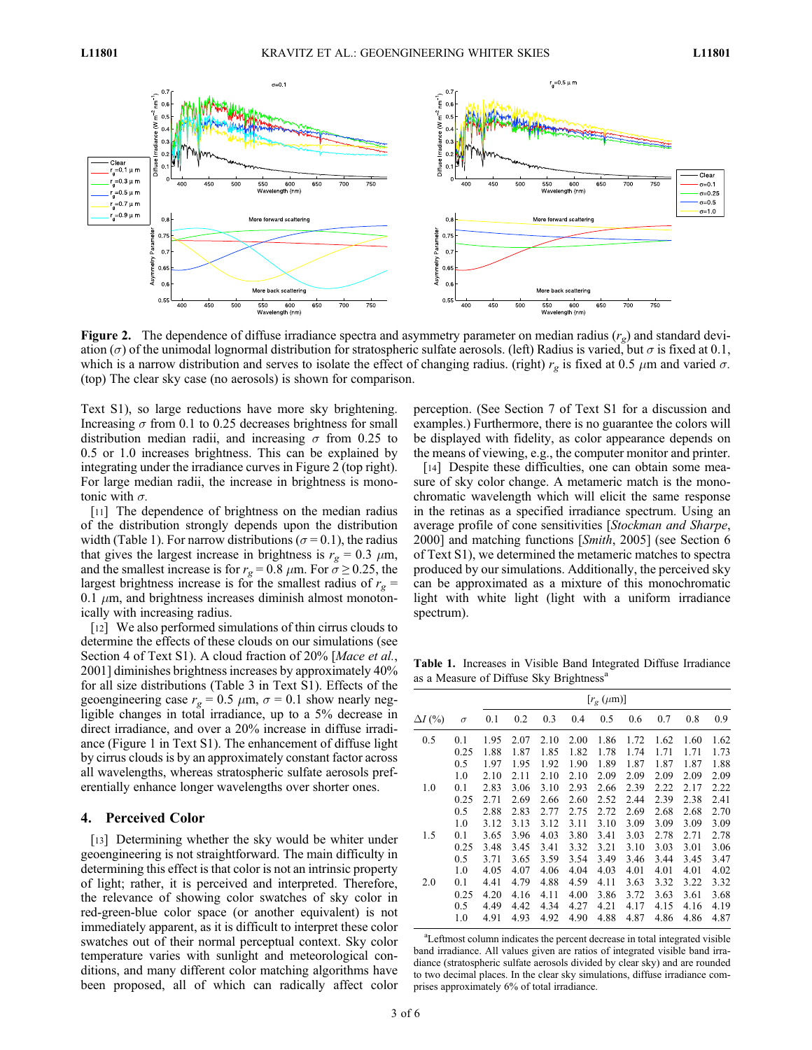

**Figure 2.** The dependence of diffuse irradiance spectra and asymmetry parameter on median radius  $(r_g)$  and standard deviation ( $\sigma$ ) of the unimodal lognormal distribution for stratospheric sulfate aerosols. (left) Radius is varied, but  $\sigma$  is fixed at 0.1, which is a narrow distribution and serves to isolate the effect of changing radius. (right)  $r_g$  is fixed at 0.5  $\mu$ m and varied  $\sigma$ . (top) The clear sky case (no aerosols) is shown for comparison.

Text S1), so large reductions have more sky brightening. Increasing  $\sigma$  from 0.1 to 0.25 decreases brightness for small distribution median radii, and increasing  $\sigma$  from 0.25 to 0.5 or 1.0 increases brightness. This can be explained by integrating under the irradiance curves in Figure 2 (top right). For large median radii, the increase in brightness is monotonic with  $\sigma$ .

[11] The dependence of brightness on the median radius of the distribution strongly depends upon the distribution width (Table 1). For narrow distributions ( $\sigma$  = 0.1), the radius that gives the largest increase in brightness is  $r_g = 0.3 \mu \text{m}$ , and the smallest increase is for  $r_g = 0.8 \ \mu \text{m}$ . For  $\sigma \ge 0.25$ , the largest brightness increase is for the smallest radius of  $r_g$  = 0.1  $\mu$ m, and brightness increases diminish almost monotonically with increasing radius.

[12] We also performed simulations of thin cirrus clouds to determine the effects of these clouds on our simulations (see Section 4 of Text S1). A cloud fraction of 20% [Mace et al., 2001] diminishes brightness increases by approximately 40% for all size distributions (Table 3 in Text S1). Effects of the geoengineering case  $r_g = 0.5 \mu m$ ,  $\sigma = 0.1$  show nearly negligible changes in total irradiance, up to a 5% decrease in direct irradiance, and over a 20% increase in diffuse irradiance (Figure 1 in Text S1). The enhancement of diffuse light by cirrus clouds is by an approximately constant factor across all wavelengths, whereas stratospheric sulfate aerosols preferentially enhance longer wavelengths over shorter ones.

#### 4. Perceived Color

[13] Determining whether the sky would be whiter under geoengineering is not straightforward. The main difficulty in determining this effect is that color is not an intrinsic property of light; rather, it is perceived and interpreted. Therefore, the relevance of showing color swatches of sky color in red-green-blue color space (or another equivalent) is not immediately apparent, as it is difficult to interpret these color swatches out of their normal perceptual context. Sky color temperature varies with sunlight and meteorological conditions, and many different color matching algorithms have been proposed, all of which can radically affect color

perception. (See Section 7 of Text S1 for a discussion and examples.) Furthermore, there is no guarantee the colors will be displayed with fidelity, as color appearance depends on the means of viewing, e.g., the computer monitor and printer.

[14] Despite these difficulties, one can obtain some measure of sky color change. A metameric match is the monochromatic wavelength which will elicit the same response in the retinas as a specified irradiance spectrum. Using an average profile of cone sensitivities [Stockman and Sharpe, 2000] and matching functions [Smith, 2005] (see Section 6 of Text S1), we determined the metameric matches to spectra produced by our simulations. Additionally, the perceived sky can be approximated as a mixture of this monochromatic light with white light (light with a uniform irradiance spectrum).

Table 1. Increases in Visible Band Integrated Diffuse Irradiance as a Measure of Diffuse Sky Brightness<sup>a</sup>

|                |          | $[r_{\rm e} (\mu m)]$ |      |      |      |      |      |      |      |      |
|----------------|----------|-----------------------|------|------|------|------|------|------|------|------|
| $\Delta I$ (%) | $\sigma$ | 0.1                   | 0.2  | 0.3  | 0.4  | 0.5  | 0.6  | 0.7  | 0.8  | 0.9  |
| 0.5            | 0.1      | 1.95                  | 2.07 | 2.10 | 2.00 | 1.86 | 1.72 | 1.62 | 1.60 | 1.62 |
|                | 0.25     | 1.88                  | 1.87 | 1.85 | 1.82 | 1.78 | 1.74 | 1.71 | 1.71 | 1.73 |
|                | 0.5      | 1.97                  | 1.95 | 1.92 | 1.90 | 1.89 | 1.87 | 1.87 | 1.87 | 1.88 |
|                | 1.0      | 2.10                  | 2.11 | 2.10 | 2.10 | 2.09 | 2.09 | 2.09 | 2.09 | 2.09 |
| 1.0            | 0.1      | 2.83                  | 3.06 | 3.10 | 2.93 | 2.66 | 2.39 | 2.22 | 2.17 | 2.22 |
|                | 0.25     | 2.71                  | 2.69 | 2.66 | 2.60 | 2.52 | 2.44 | 2.39 | 2.38 | 2.41 |
|                | 0.5      | 2.88                  | 2.83 | 2.77 | 2.75 | 2.72 | 2.69 | 2.68 | 2.68 | 2.70 |
|                | 1.0      | 3.12                  | 3.13 | 3.12 | 3.11 | 3.10 | 3.09 | 3.09 | 3.09 | 3.09 |
| 1.5            | 0.1      | 3.65                  | 3.96 | 4.03 | 3.80 | 3.41 | 3.03 | 2.78 | 2.71 | 2.78 |
|                | 0.25     | 3.48                  | 3.45 | 3.41 | 3.32 | 3.21 | 3.10 | 3.03 | 3.01 | 3.06 |
|                | 0.5      | 3.71                  | 3.65 | 3.59 | 3.54 | 3.49 | 3.46 | 3.44 | 3.45 | 3.47 |
|                | 1.0      | 4.05                  | 4.07 | 4.06 | 4.04 | 4.03 | 4.01 | 4.01 | 4.01 | 4.02 |
| 2.0            | 0.1      | 4.41                  | 4.79 | 4.88 | 4.59 | 4.11 | 3.63 | 3.32 | 3.22 | 3.32 |
|                | 0.25     | 4.20                  | 4.16 | 4.11 | 4.00 | 3.86 | 3.72 | 3.63 | 3.61 | 3.68 |
|                | 0.5      | 4.49                  | 4.42 | 4.34 | 4.27 | 4.21 | 4.17 | 4.15 | 4.16 | 4.19 |
|                | 1.0      | 4.91                  | 4.93 | 4.92 | 4.90 | 4.88 | 4.87 | 4.86 | 4.86 | 4.87 |

<sup>a</sup>Leftmost column indicates the percent decrease in total integrated visible band irradiance. All values given are ratios of integrated visible band irradiance (stratospheric sulfate aerosols divided by clear sky) and are rounded to two decimal places. In the clear sky simulations, diffuse irradiance comprises approximately 6% of total irradiance.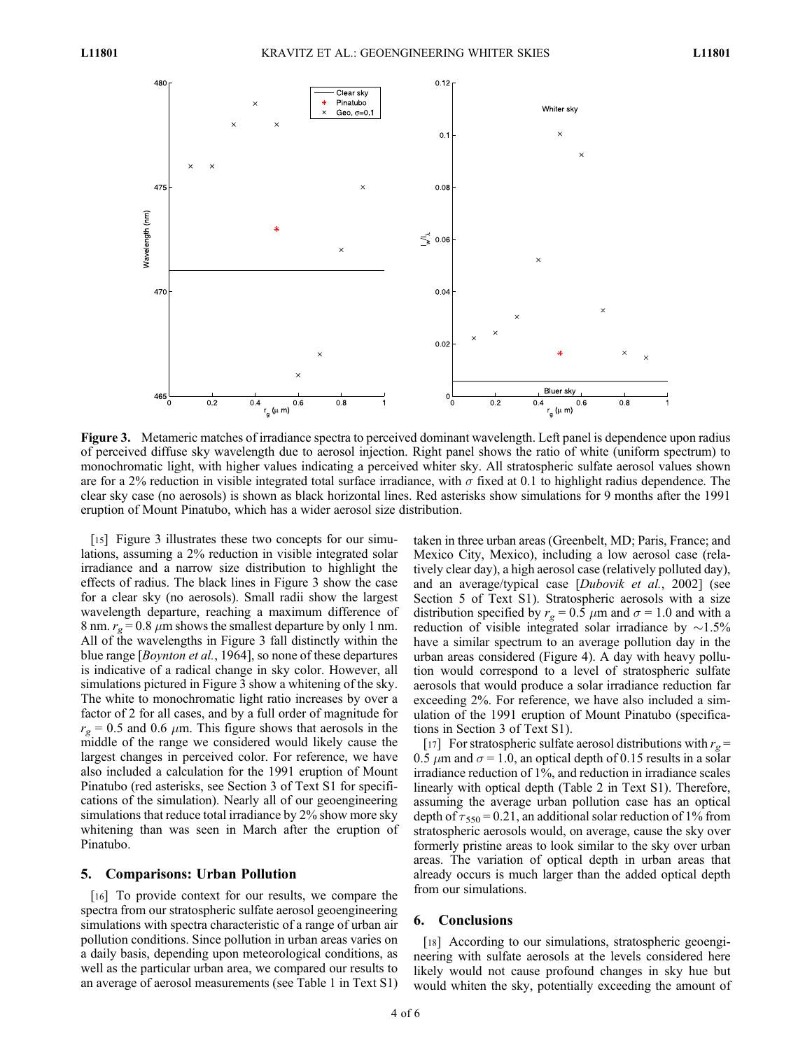

Figure 3. Metameric matches of irradiance spectra to perceived dominant wavelength. Left panel is dependence upon radius of perceived diffuse sky wavelength due to aerosol injection. Right panel shows the ratio of white (uniform spectrum) to monochromatic light, with higher values indicating a perceived whiter sky. All stratospheric sulfate aerosol values shown are for a 2% reduction in visible integrated total surface irradiance, with  $\sigma$  fixed at 0.1 to highlight radius dependence. The clear sky case (no aerosols) is shown as black horizontal lines. Red asterisks show simulations for 9 months after the 1991 eruption of Mount Pinatubo, which has a wider aerosol size distribution.

[15] Figure 3 illustrates these two concepts for our simulations, assuming a 2% reduction in visible integrated solar irradiance and a narrow size distribution to highlight the effects of radius. The black lines in Figure 3 show the case for a clear sky (no aerosols). Small radii show the largest wavelength departure, reaching a maximum difference of 8 nm.  $r_g = 0.8 \mu$ m shows the smallest departure by only 1 nm. All of the wavelengths in Figure 3 fall distinctly within the blue range [Boynton et al., 1964], so none of these departures is indicative of a radical change in sky color. However, all simulations pictured in Figure 3 show a whitening of the sky. The white to monochromatic light ratio increases by over a factor of 2 for all cases, and by a full order of magnitude for  $r_g = 0.5$  and 0.6  $\mu$ m. This figure shows that aerosols in the middle of the range we considered would likely cause the largest changes in perceived color. For reference, we have also included a calculation for the 1991 eruption of Mount Pinatubo (red asterisks, see Section 3 of Text S1 for specifications of the simulation). Nearly all of our geoengineering simulations that reduce total irradiance by 2% show more sky whitening than was seen in March after the eruption of Pinatubo.

### 5. Comparisons: Urban Pollution

[16] To provide context for our results, we compare the spectra from our stratospheric sulfate aerosol geoengineering simulations with spectra characteristic of a range of urban air pollution conditions. Since pollution in urban areas varies on a daily basis, depending upon meteorological conditions, as well as the particular urban area, we compared our results to an average of aerosol measurements (see Table 1 in Text S1) taken in three urban areas (Greenbelt, MD; Paris, France; and Mexico City, Mexico), including a low aerosol case (relatively clear day), a high aerosol case (relatively polluted day), and an average/typical case [Dubovik et al., 2002] (see Section 5 of Text S1). Stratospheric aerosols with a size distribution specified by  $r_g = 0.5 \mu m$  and  $\sigma = 1.0$  and with a reduction of visible integrated solar irradiance by  $\sim$ 1.5% have a similar spectrum to an average pollution day in the urban areas considered (Figure 4). A day with heavy pollution would correspond to a level of stratospheric sulfate aerosols that would produce a solar irradiance reduction far exceeding 2%. For reference, we have also included a simulation of the 1991 eruption of Mount Pinatubo (specifications in Section 3 of Text S1).

[17] For stratospheric sulfate aerosol distributions with  $r_g =$ 0.5  $\mu$ m and  $\sigma$  = 1.0, an optical depth of 0.15 results in a solar irradiance reduction of 1%, and reduction in irradiance scales linearly with optical depth (Table 2 in Text S1). Therefore, assuming the average urban pollution case has an optical depth of  $\tau_{550} = 0.21$ , an additional solar reduction of 1% from stratospheric aerosols would, on average, cause the sky over formerly pristine areas to look similar to the sky over urban areas. The variation of optical depth in urban areas that already occurs is much larger than the added optical depth from our simulations.

### 6. Conclusions

[18] According to our simulations, stratospheric geoengineering with sulfate aerosols at the levels considered here likely would not cause profound changes in sky hue but would whiten the sky, potentially exceeding the amount of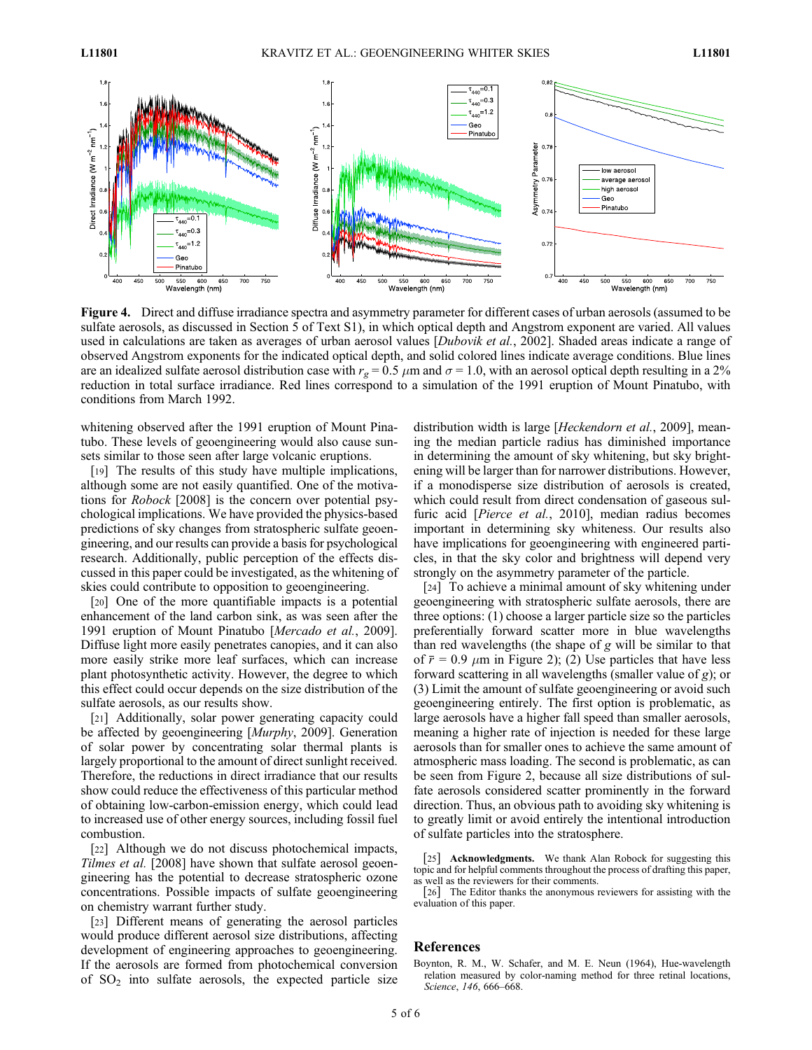

Figure 4. Direct and diffuse irradiance spectra and asymmetry parameter for different cases of urban aerosols (assumed to be sulfate aerosols, as discussed in Section 5 of Text S1), in which optical depth and Angstrom exponent are varied. All values used in calculations are taken as averages of urban aerosol values [Dubovik et al., 2002]. Shaded areas indicate a range of observed Angstrom exponents for the indicated optical depth, and solid colored lines indicate average conditions. Blue lines are an idealized sulfate aerosol distribution case with  $r_g = 0.5 \mu m$  and  $\sigma = 1.0$ , with an aerosol optical depth resulting in a 2% reduction in total surface irradiance. Red lines correspond to a simulation of the 1991 eruption of Mount Pinatubo, with conditions from March 1992.

whitening observed after the 1991 eruption of Mount Pinatubo. These levels of geoengineering would also cause sunsets similar to those seen after large volcanic eruptions.

[19] The results of this study have multiple implications, although some are not easily quantified. One of the motivations for Robock [2008] is the concern over potential psychological implications. We have provided the physics-based predictions of sky changes from stratospheric sulfate geoengineering, and our results can provide a basis for psychological research. Additionally, public perception of the effects discussed in this paper could be investigated, as the whitening of skies could contribute to opposition to geoengineering.

[20] One of the more quantifiable impacts is a potential enhancement of the land carbon sink, as was seen after the 1991 eruption of Mount Pinatubo [Mercado et al., 2009]. Diffuse light more easily penetrates canopies, and it can also more easily strike more leaf surfaces, which can increase plant photosynthetic activity. However, the degree to which this effect could occur depends on the size distribution of the sulfate aerosols, as our results show.

[21] Additionally, solar power generating capacity could be affected by geoengineering [Murphy, 2009]. Generation of solar power by concentrating solar thermal plants is largely proportional to the amount of direct sunlight received. Therefore, the reductions in direct irradiance that our results show could reduce the effectiveness of this particular method of obtaining low-carbon-emission energy, which could lead to increased use of other energy sources, including fossil fuel combustion.

[22] Although we do not discuss photochemical impacts, Tilmes et al. [2008] have shown that sulfate aerosol geoengineering has the potential to decrease stratospheric ozone concentrations. Possible impacts of sulfate geoengineering on chemistry warrant further study.

[23] Different means of generating the aerosol particles would produce different aerosol size distributions, affecting development of engineering approaches to geoengineering. If the aerosols are formed from photochemical conversion of  $SO<sub>2</sub>$  into sulfate aerosols, the expected particle size

distribution width is large [*Heckendorn et al.*, 2009], meaning the median particle radius has diminished importance in determining the amount of sky whitening, but sky brightening will be larger than for narrower distributions. However, if a monodisperse size distribution of aerosols is created, which could result from direct condensation of gaseous sulfuric acid [*Pierce et al.*, 2010], median radius becomes important in determining sky whiteness. Our results also have implications for geoengineering with engineered particles, in that the sky color and brightness will depend very strongly on the asymmetry parameter of the particle.

[24] To achieve a minimal amount of sky whitening under geoengineering with stratospheric sulfate aerosols, there are three options: (1) choose a larger particle size so the particles preferentially forward scatter more in blue wavelengths than red wavelengths (the shape of g will be similar to that of  $\bar{r}$  = 0.9  $\mu$ m in Figure 2); (2) Use particles that have less forward scattering in all wavelengths (smaller value of g); or (3) Limit the amount of sulfate geoengineering or avoid such geoengineering entirely. The first option is problematic, as large aerosols have a higher fall speed than smaller aerosols, meaning a higher rate of injection is needed for these large aerosols than for smaller ones to achieve the same amount of atmospheric mass loading. The second is problematic, as can be seen from Figure 2, because all size distributions of sulfate aerosols considered scatter prominently in the forward direction. Thus, an obvious path to avoiding sky whitening is to greatly limit or avoid entirely the intentional introduction of sulfate particles into the stratosphere.

#### References

<sup>[25]</sup> **Acknowledgments.** We thank Alan Robock for suggesting this topic and for helpful comments throughout the process of drafting this paper, as well as the reviewers for their comments.

<sup>[26]</sup> The Editor thanks the anonymous reviewers for assisting with the evaluation of this paper.

Boynton, R. M., W. Schafer, and M. E. Neun (1964), Hue-wavelength relation measured by color-naming method for three retinal locations, Science, 146, 666–668.